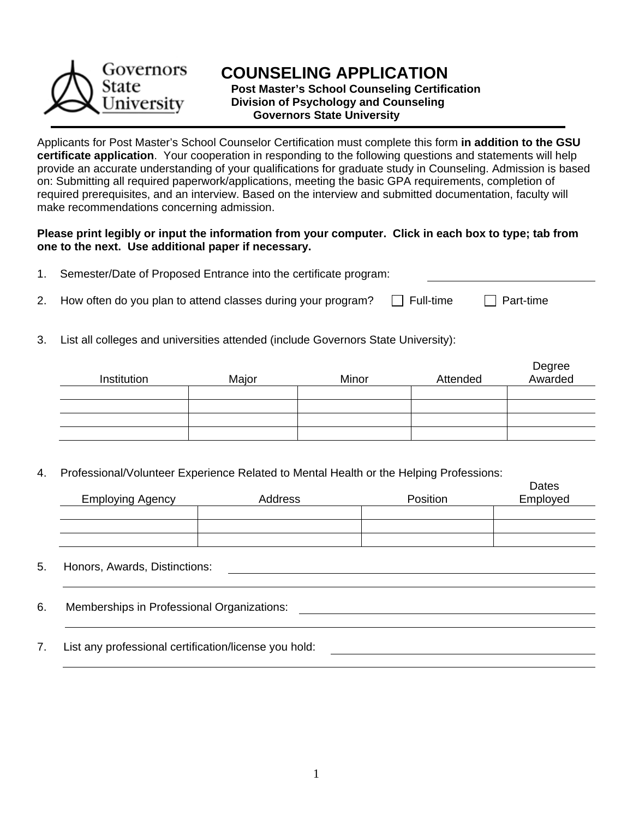

## **COUNSELING APPLICATION**

 **Post Master's School Counseling Certification Division of Psychology and Counseling Governors State University**

Applicants for Post Master's School Counselor Certification must complete this form **in addition to the GSU certificate application**. Your cooperation in responding to the following questions and statements will help provide an accurate understanding of your qualifications for graduate study in Counseling. Admission is based on: Submitting all required paperwork/applications, meeting the basic GPA requirements, completion of required prerequisites, and an interview. Based on the interview and submitted documentation, faculty will make recommendations concerning admission.

### **Please print legibly or input the information from your computer. Click in each box to type; tab from one to the next. Use additional paper if necessary.**

| Semester/Date of Proposed Entrance into the certificate program: |  |
|------------------------------------------------------------------|--|
|                                                                  |  |

2. How often do you plan to attend classes during your program?  $\Box$  Full-time  $\Box$  Part-time

3. List all colleges and universities attended (include Governors State University):

| Institution | Major | Minor | Attended | Degree<br>Awarded |
|-------------|-------|-------|----------|-------------------|
|             |       |       |          |                   |
|             |       |       |          |                   |
|             |       |       |          |                   |
|             |       |       |          |                   |

4. Professional/Volunteer Experience Related to Mental Health or the Helping Professions:

| <b>Employing Agency</b> | Address | Position | Dates<br>Employed |
|-------------------------|---------|----------|-------------------|
|                         |         |          |                   |
|                         |         |          |                   |
|                         |         |          |                   |

### 5. Honors, Awards, Distinctions:

6. Memberships in Professional Organizations:

7. List any professional certification/license you hold: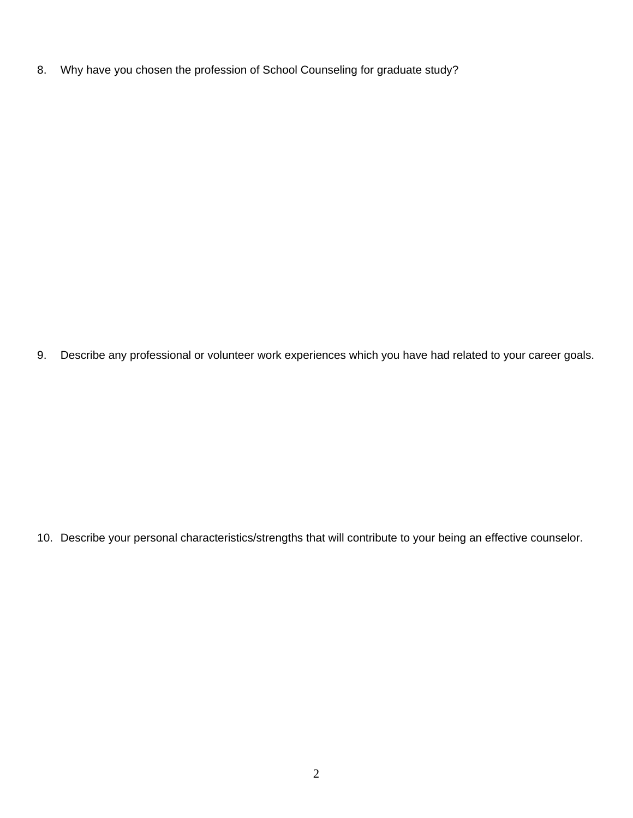8. Why have you chosen the profession of School Counseling for graduate study?

9. Describe any professional or volunteer work experiences which you have had related to your career goals.

10. Describe your personal characteristics/strengths that will contribute to your being an effective counselor.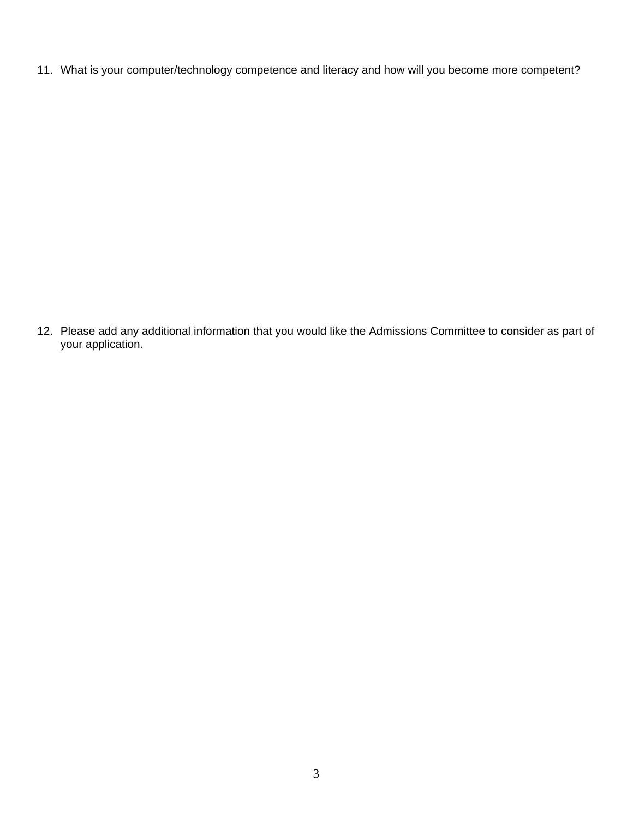11. What is your computer/technology competence and literacy and how will you become more competent?

12. Please add any additional information that you would like the Admissions Committee to consider as part of your application.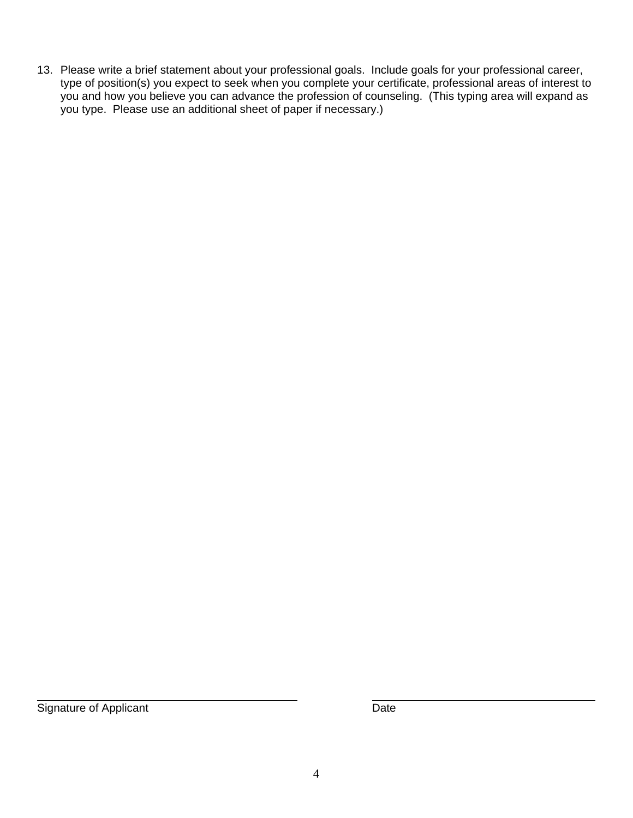13. Please write a brief statement about your professional goals. Include goals for your professional career, type of position(s) you expect to seek when you complete your certificate, professional areas of interest to you and how you believe you can advance the profession of counseling. (This typing area will expand as you type. Please use an additional sheet of paper if necessary.)

 $\overline{a}$ Signature of Applicant **Date**